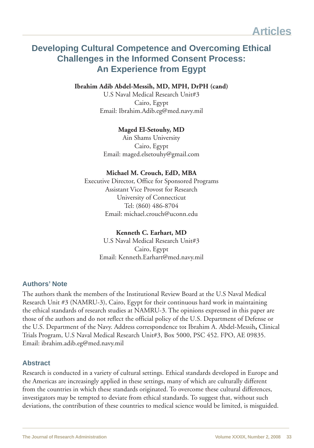## **Developing Cultural Competence and Overcoming Ethical Challenges in the Informed Consent Process: An Experience from Egypt**

**Ibrahim Adib Abdel-Messih, MD, MPH, DrPH (cand)**

U.S Naval Medical Research Unit#3 Cairo, Egypt Email: Ibrahim.Adib.eg@med.navy.mil

#### **Maged El-Setouhy, MD**

Ain Shams University Cairo, Egypt Email: maged.elsetouhy@gmail.com

#### **Michael M. Crouch, EdD, MBA**

Executive Director, Office for Sponsored Programs Assistant Vice Provost for Research University of Connecticut Tel: (860) 486-8704 Email: michael.crouch@uconn.edu

#### **Kenneth C. Earhart, MD**

U.S Naval Medical Research Unit#3 Cairo, Egypt Email: Kenneth.Earhart@med.navy.mil

#### **Authors' Note**

The authors thank the members of the Institutional Review Board at the U.S Naval Medical Research Unit #3 (NAMRU-3), Cairo, Egypt for their continuous hard work in maintaining the ethical standards of research studies at NAMRU-3. The opinions expressed in this paper are those of the authors and do not reflect the official policy of the U.S. Department of Defense or the U.S. Department of the Navy. Address correspondence to**:** Ibrahim A. Abdel-Messih**,** Clinical Trials Program, U.S Naval Medical Research Unit#3, Box 5000, PSC 452. FPO, AE 09835. Email: ibrahim.adib.eg@med.navy.mil

#### **Abstract**

Research is conducted in a variety of cultural settings. Ethical standards developed in Europe and the Americas are increasingly applied in these settings, many of which are culturally different from the countries in which these standards originated. To overcome these cultural differences, investigators may be tempted to deviate from ethical standards. To suggest that, without such deviations, the contribution of these countries to medical science would be limited, is misguided.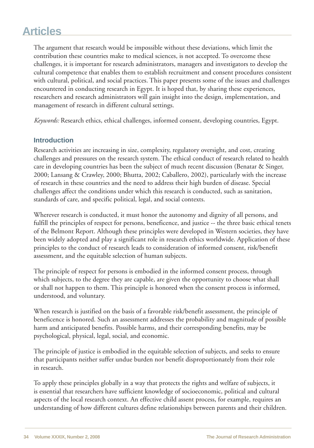The argument that research would be impossible without these deviations, which limit the contribution these countries make to medical sciences, is not accepted. To overcome these challenges, it is important for research administrators, managers and investigators to develop the cultural competence that enables them to establish recruitment and consent procedures consistent with cultural, political, and social practices. This paper presents some of the issues and challenges encountered in conducting research in Egypt. It is hoped that, by sharing these experiences, researchers and research administrators will gain insight into the design, implementation, and management of research in different cultural settings.

*Keywords:* Research ethics, ethical challenges, informed consent, developing countries, Egypt.

#### **Introduction**

Research activities are increasing in size, complexity, regulatory oversight, and cost, creating challenges and pressures on the research system. The ethical conduct of research related to health care in developing countries has been the subject of much recent discussion (Benatar & Singer, 2000; Lansang & Crawley, 2000; Bhutta, 2002; Caballero, 2002), particularly with the increase of research in these countries and the need to address their high burden of disease. Special challenges affect the conditions under which this research is conducted, such as sanitation, standards of care, and specific political, legal, and social contexts.

Wherever research is conducted, it must honor the autonomy and dignity of all persons, and fulfill the principles of respect for persons, beneficence, and justice -- the three basic ethical tenets of the Belmont Report. Although these principles were developed in Western societies, they have been widely adopted and play a significant role in research ethics worldwide. Application of these principles to the conduct of research leads to consideration of informed consent, risk/benefit assessment, and the equitable selection of human subjects.

The principle of respect for persons is embodied in the informed consent process, through which subjects, to the degree they are capable, are given the opportunity to choose what shall or shall not happen to them. This principle is honored when the consent process is informed, understood, and voluntary.

When research is justified on the basis of a favorable risk/benefit assessment, the principle of beneficence is honored. Such an assessment addresses the probability and magnitude of possible harm and anticipated benefits. Possible harms, and their corresponding benefits, may be psychological, physical, legal, social, and economic.

The principle of justice is embodied in the equitable selection of subjects, and seeks to ensure that participants neither suffer undue burden nor benefit disproportionately from their role in research.

To apply these principles globally in a way that protects the rights and welfare of subjects, it is essential that researchers have sufficient knowledge of socioeconomic, political and cultural aspects of the local research context. An effective child assent process, for example, requires an understanding of how different cultures define relationships between parents and their children.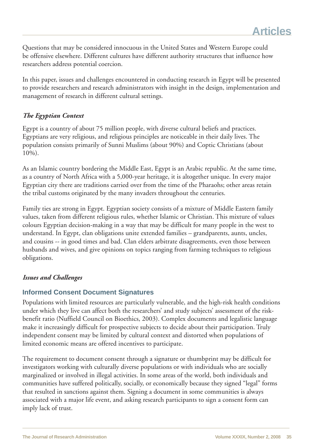Questions that may be considered innocuous in the United States and Western Europe could be offensive elsewhere. Different cultures have different authority structures that influence how researchers address potential coercion.

In this paper, issues and challenges encountered in conducting research in Egypt will be presented to provide researchers and research administrators with insight in the design, implementation and management of research in different cultural settings.

#### *The Egyptian Context*

Egypt is a country of about 75 million people, with diverse cultural beliefs and practices. Egyptians are very religious, and religious principles are noticeable in their daily lives. The population consists primarily of Sunni Muslims (about 90%) and Coptic Christians (about 10%).

As an Islamic country bordering the Middle East, Egypt is an Arabic republic. At the same time, as a country of North Africa with a 5,000-year heritage, it is altogether unique. In every major Egyptian city there are traditions carried over from the time of the Pharaohs; other areas retain the tribal customs originated by the many invaders throughout the centuries.

Family ties are strong in Egypt. Egyptian society consists of a mixture of Middle Eastern family values, taken from different religious rules, whether Islamic or Christian. This mixture of values colours Egyptian decision-making in a way that may be difficult for many people in the west to understand. In Egypt, clan obligations unite extended families – grandparents, aunts, uncles, and cousins -- in good times and bad. Clan elders arbitrate disagreements, even those between husbands and wives, and give opinions on topics ranging from farming techniques to religious obligations.

#### *Issues and Challenges*

### **Informed Consent Document Signatures**

Populations with limited resources are particularly vulnerable, and the high-risk health conditions under which they live can affect both the researchers' and study subjects' assessment of the riskbenefit ratio (Nuffield Council on Bioethics, 2003). Complex documents and legalistic language make it increasingly difficult for prospective subjects to decide about their participation. Truly independent consent may be limited by cultural context and distorted when populations of limited economic means are offered incentives to participate.

The requirement to document consent through a signature or thumbprint may be difficult for investigators working with culturally diverse populations or with individuals who are socially marginalized or involved in illegal activities. In some areas of the world, both individuals and communities have suffered politically, socially, or economically because they signed "legal" forms that resulted in sanctions against them. Signing a document in some communities is always associated with a major life event, and asking research participants to sign a consent form can imply lack of trust.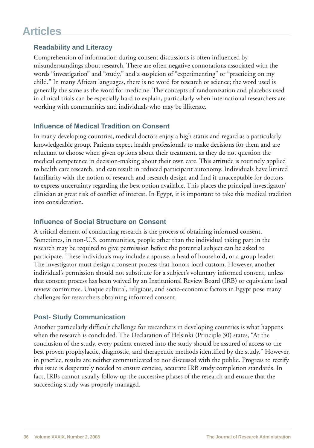#### **Readability and Literacy**

Comprehension of information during consent discussions is often influenced by misunderstandings about research. There are often negative connotations associated with the words "investigation" and "study," and a suspicion of "experimenting" or "practicing on my child." In many African languages, there is no word for research or science; the word used is generally the same as the word for medicine. The concepts of randomization and placebos used in clinical trials can be especially hard to explain, particularly when international researchers are working with communities and individuals who may be illiterate.

#### **Influence of Medical Tradition on Consent**

In many developing countries, medical doctors enjoy a high status and regard as a particularly knowledgeable group. Patients expect health professionals to make decisions for them and are reluctant to choose when given options about their treatment, as they do not question the medical competence in decision-making about their own care. This attitude is routinely applied to health care research, and can result in reduced participant autonomy. Individuals have limited familiarity with the notion of research and research design and find it unacceptable for doctors to express uncertainty regarding the best option available. This places the principal investigator/ clinician at great risk of conflict of interest. In Egypt, it is important to take this medical tradition into consideration.

#### **Influence of Social Structure on Consent**

A critical element of conducting research is the process of obtaining informed consent. Sometimes, in non-U.S. communities, people other than the individual taking part in the research may be required to give permission before the potential subject can be asked to participate. These individuals may include a spouse, a head of household, or a group leader. The investigator must design a consent process that honors local custom. However, another individual's permission should not substitute for a subject's voluntary informed consent, unless that consent process has been waived by an Institutional Review Board (IRB) or equivalent local review committee. Unique cultural, religious, and socio-economic factors in Egypt pose many challenges for researchers obtaining informed consent.

#### **Post- Study Communication**

Another particularly difficult challenge for researchers in developing countries is what happens when the research is concluded. The Declaration of Helsinki (Principle 30) states, "At the conclusion of the study, every patient entered into the study should be assured of access to the best proven prophylactic, diagnostic, and therapeutic methods identified by the study." However, in practice, results are neither communicated to nor discussed with the public. Progress to rectify this issue is desperately needed to ensure concise, accurate IRB study completion standards. In fact, IRBs cannot usually follow up the successive phases of the research and ensure that the succeeding study was properly managed.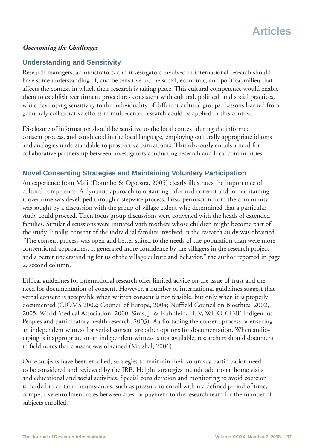#### *Overcoming the Challenges*

#### **Understanding and Sensitivity**

Research managers, administrators, and investigators involved in international research should have some understanding of, and be sensitive to, the social, economic, and political milieu that affects the context in which their research is taking place. This cultural competence would enable them to establish recruitment procedures consistent with cultural, political, and social practices, while developing sensitivity to the individuality of different cultural groups. Lessons learned from genuinely collaborative efforts in multi-center research could be applied in this context.

Disclosure of information should be sensitive to the local context during the informed consent process, and conducted in the local language, employing culturally appropriate idioms and analogies understandable to prospective participants. This obviously entails a need for collaborative partnership between investigators conducting research and local communities.

#### **Novel Consenting Strategies and Maintaining Voluntary Participation**

An experience from Mali (Doumbo & Ogobara, 2005) clearly illustrates the importance of cultural competence. A dynamic approach to obtaining informed consent and to maintaining it over time was developed through a stepwise process. First, permission from the community was sought by a discussion with the group of village elders, who determined that a particular study could proceed. Then focus group discussions were convened with the heads of extended families. Similar discussions were initiated with mothers whose children might become part of the study. Finally, consent of the individual families involved in the research study was obtained. "The consent process was open and better suited to the needs of the population than were more conventional approaches. It generated more confidence by the villagers in the research project and a better understanding for us of the village culture and behavior." the author reported in page 2, second column.

Ethical guidelines for international research offer limited advice on the issue of trust and the need for documentation of consent. However, a number of international guidelines suggest that verbal consent is acceptable when written consent is not feasible, but only when it is properly documented (CIOMS 2002; Council of Europe, 2004; Nuffield Council on Bioethics, 2002, 2005; World Medical Association, 2000; Sims, J. & Kuhnlein, H. V, WHO-CINE Indigenous Peoples and participatory health research, 2003). Audio-taping the consent process or ensuring an independent witness for verbal consent are other options for documentation. When audiotaping is inappropriate or an independent witness is not available, researchers should document in field notes that consent was obtained (Marshal, 2006).

Once subjects have been enrolled, strategies to maintain their voluntary participation need to be considered and reviewed by the IRB. Helpful strategies include additional home visits and educational and social activities. Special consideration and monitoring to avoid coercion is needed in certain circumstances, such as pressure to enroll within a defined period of time, competitive enrollment rates between sites, or payment to the research team for the number of subjects enrolled.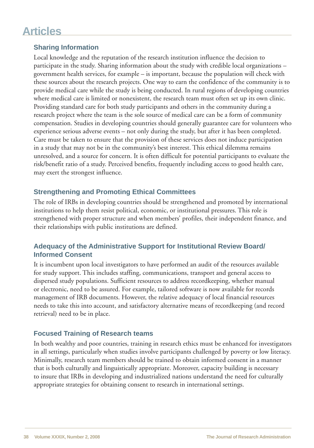### **Sharing Information**

Local knowledge and the reputation of the research institution influence the decision to participate in the study. Sharing information about the study with credible local organizations – government health services, for example – is important, because the population will check with these sources about the research projects. One way to earn the confidence of the community is to provide medical care while the study is being conducted. In rural regions of developing countries where medical care is limited or nonexistent, the research team must often set up its own clinic. Providing standard care for both study participants and others in the community during a research project where the team is the sole source of medical care can be a form of community compensation. Studies in developing countries should generally guarantee care for volunteers who experience serious adverse events – not only during the study, but after it has been completed. Care must be taken to ensure that the provision of these services does not induce participation in a study that may not be in the community's best interest. This ethical dilemma remains unresolved, and a source for concern. It is often difficult for potential participants to evaluate the risk/benefit ratio of a study. Perceived benefits, frequently including access to good health care, may exert the strongest influence.

### **Strengthening and Promoting Ethical Committees**

The role of IRBs in developing countries should be strengthened and promoted by international institutions to help them resist political, economic, or institutional pressures. This role is strengthened with proper structure and when members' profiles, their independent finance, and their relationships with public institutions are defined.

#### **Adequacy of the Administrative Support for Institutional Review Board/ Informed Consent**

It is incumbent upon local investigators to have performed an audit of the resources available for study support. This includes staffing, communications, transport and general access to dispersed study populations. Sufficient resources to address recordkeeping, whether manual or electronic, need to be assured. For example, tailored software is now available for records management of IRB documents. However, the relative adequacy of local financial resources needs to take this into account, and satisfactory alternative means of recordkeeping (and record retrieval) need to be in place.

### **Focused Training of Research teams**

In both wealthy and poor countries, training in research ethics must be enhanced for investigators in all settings, particularly when studies involve participants challenged by poverty or low literacy. Minimally, research team members should be trained to obtain informed consent in a manner that is both culturally and linguistically appropriate. Moreover, capacity building is necessary to insure that IRBs in developing and industrialized nations understand the need for culturally appropriate strategies for obtaining consent to research in international settings.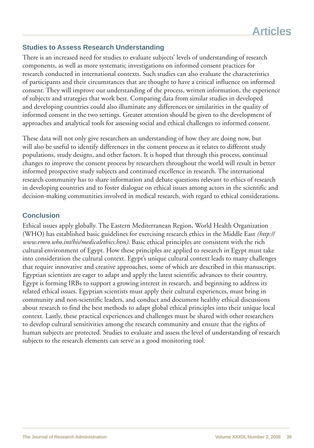#### **Studies to Assess Research Understanding**

There is an increased need for studies to evaluate subjects' levels of understanding of research components, as well as more systematic investigations on informed consent practices for research conducted in international contexts. Such studies can also evaluate the characteristics of participants and their circumstances that are thought to have a critical influence on informed consent. They will improve our understanding of the process, written information, the experience of subjects and strategies that work best. Comparing data from similar studies in developed and developing countries could also illuminate any differences or similarities in the quality of informed consent in the two settings. Greater attention should be given to the development of approaches and analytical tools for assessing social and ethical challenges to informed consent.

These data will not only give researchers an understanding of how they are doing now, but will also be useful to identify differences in the consent process as it relates to different study populations, study designs, and other factors. It is hoped that through this process, continual changes to improve the consent process by researchers throughout the world will result in better informed prospective study subjects and continued excellence in research. The international research community has to share information and debate questions relevant to ethics of research in developing countries and to foster dialogue on ethical issues among actors in the scientific and decision-making communities involved in medical research, with regard to ethical considerations.

#### **Conclusion**

Ethical issues apply globally. The Eastern Mediterranean Region, World Health Organization (WHO) has established basic guidelines for exercising research ethics in the Middle East *(http:// www.emro.who.int/his/medicalethics.htm)*. Basic ethical principles are consistent with the rich cultural environment of Egypt. How these principles are applied to research in Egypt must take into consideration the cultural context. Egypt's unique cultural context leads to many challenges that require innovative and creative approaches, some of which are described in this manuscript. Egyptian scientists are eager to adapt and apply the latest scientific advances to their country. Egypt is forming IRBs to support a growing interest in research, and beginning to address its related ethical issues. Egyptian scientists must apply their cultural experiences, must bring in community and non-scientific leaders, and conduct and document healthy ethical discussions about research to find the best methods to adapt global ethical principles into their unique local context. Lastly, these practical experiences and challenges must be shared with other researchers to develop cultural sensitivities among the research community and ensure that the rights of human subjects are protected. Studies to evaluate and assess the level of understanding of research subjects to the research elements can serve as a good monitoring tool.